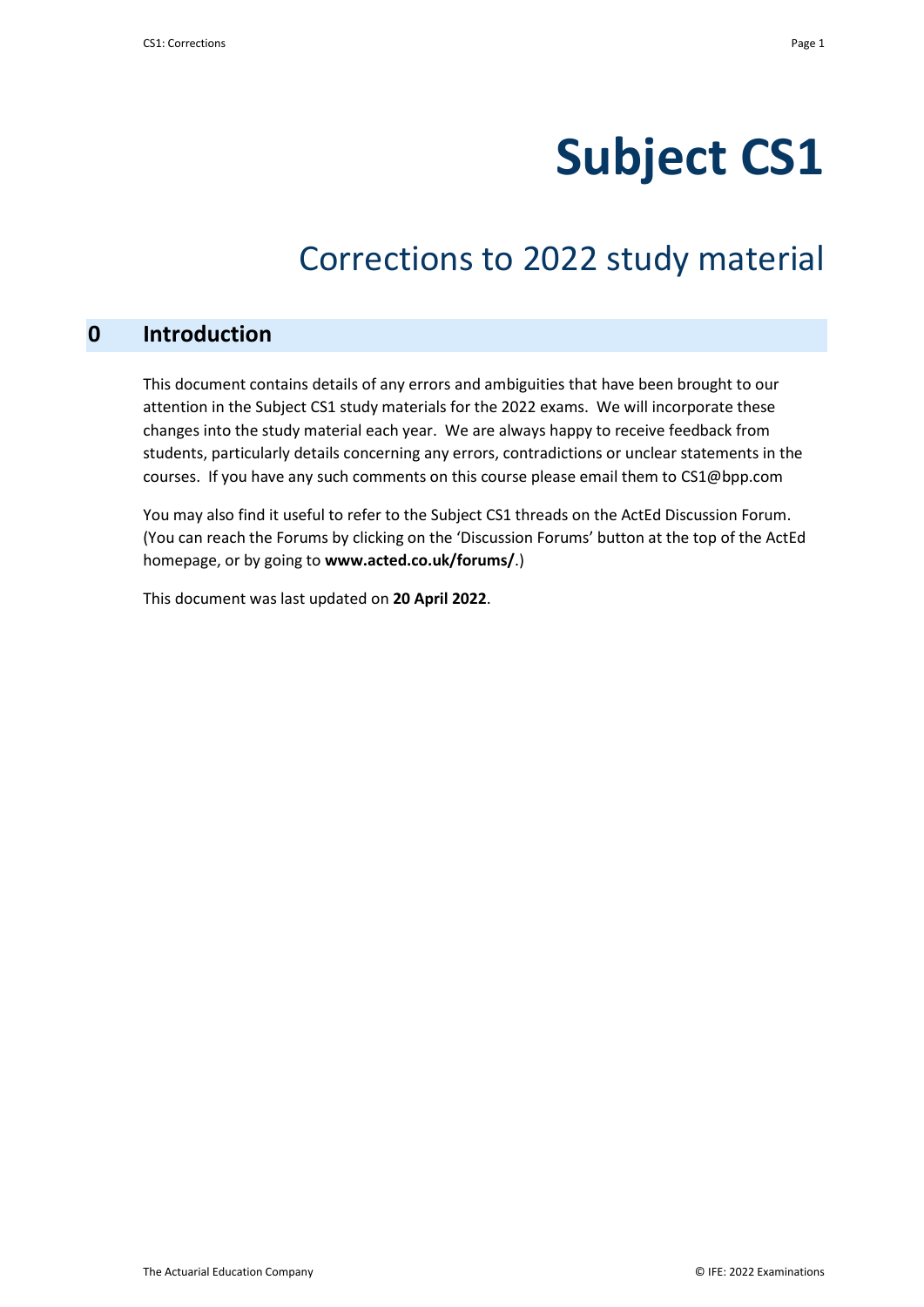# **Subject CS1**

# Corrections to 2022 study material

# **0 Introduction**

This document contains details of any errors and ambiguities that have been brought to our attention in the Subject CS1 study materials for the 2022 exams. We will incorporate these changes into the study material each year. We are always happy to receive feedback from students, particularly details concerning any errors, contradictions or unclear statements in the courses. If you have any such comments on this course please email them to CS1@bpp.com

You may also find it useful to refer to the Subject CS1 threads on the ActEd Discussion Forum. (You can reach the Forums by clicking on the 'Discussion Forums' button at the top of the ActEd homepage, or by going to **www.acted.co.uk/forums/**.)

This document was last updated on **20 April 2022**.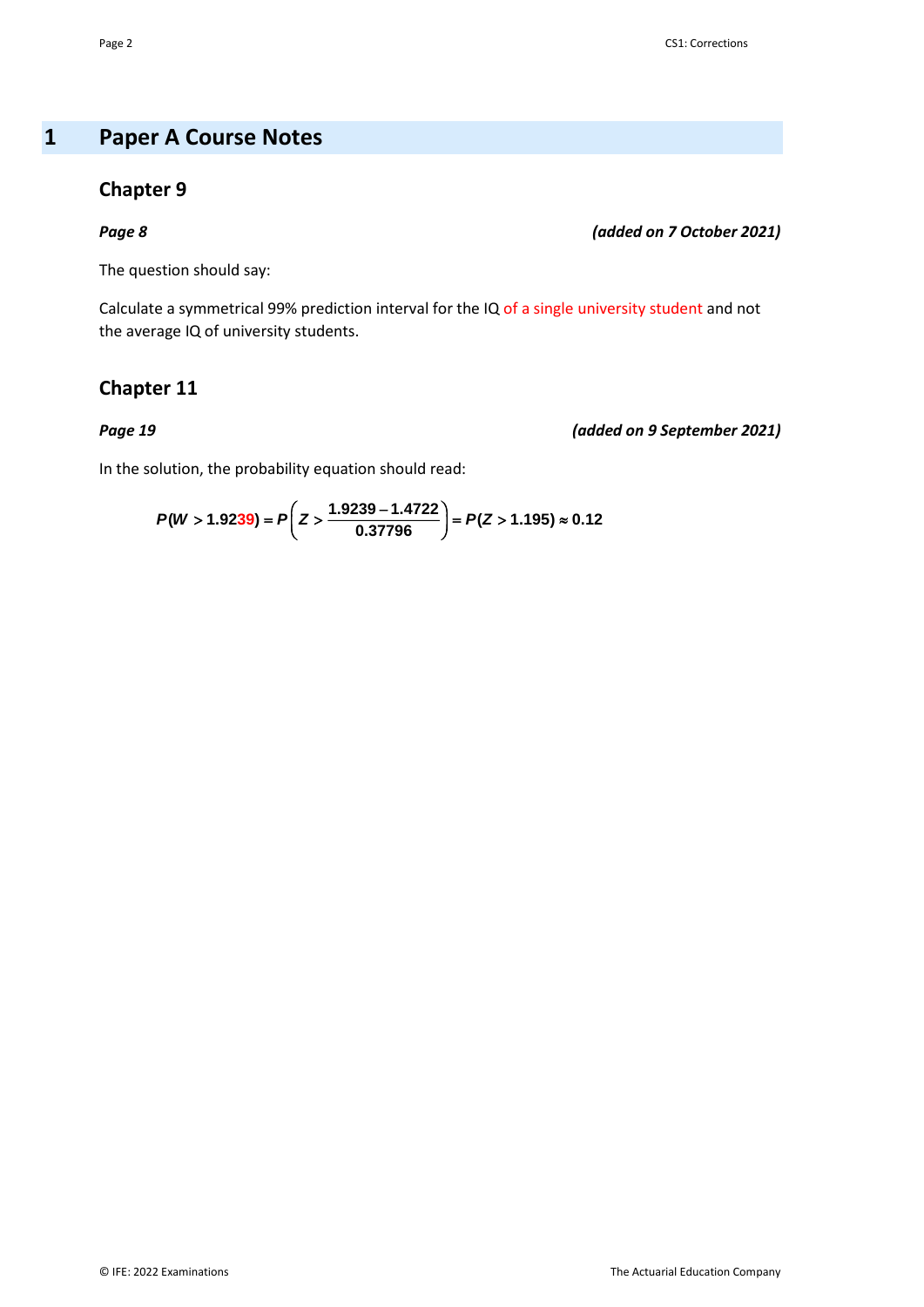# **1 Paper A Course Notes**

### **Chapter 9**

*Page 8 (added on 7 October 2021)*

The question should say:

Calculate a symmetrical 99% prediction interval for the IQ of a single university student and not the average IQ of university students.

# **Chapter 11**

*Page 19 (added on 9 September 2021)*

In the solution, the probability equation should read:

$$
P(W > 1.9239) = P\left(Z > \frac{1.9239 - 1.4722}{0.37796}\right) = P(Z > 1.195) \approx 0.12
$$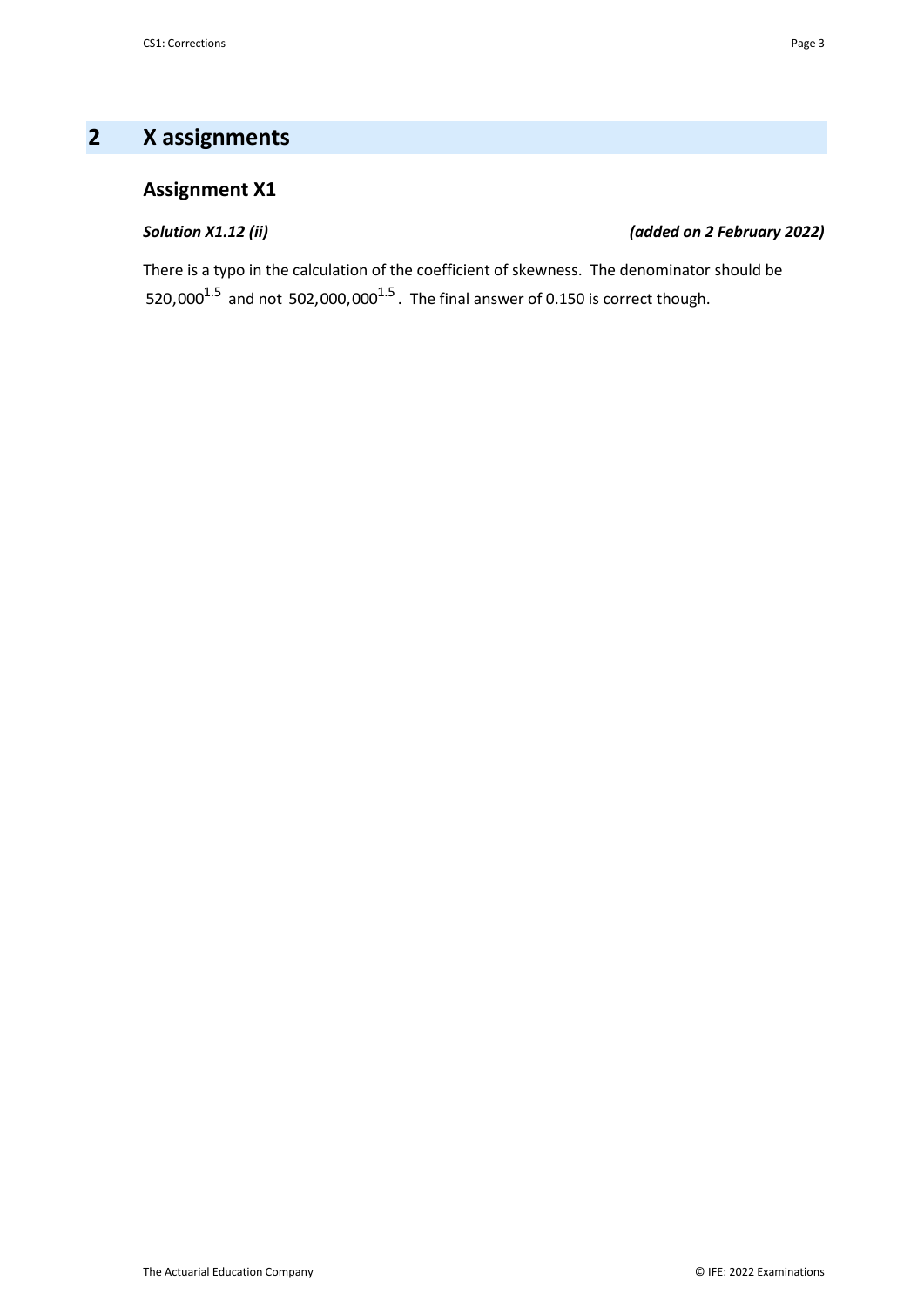# **2 X assignments**

# **Assignment X1**

### *Solution X1.12 (ii) (added on 2 February 2022)*

There is a typo in the calculation of the coefficient of skewness. The denominator should be 520,000 $^{1.5}$  and not 502,000,000 $^{1.5}$ . The final answer of 0.150 is correct though.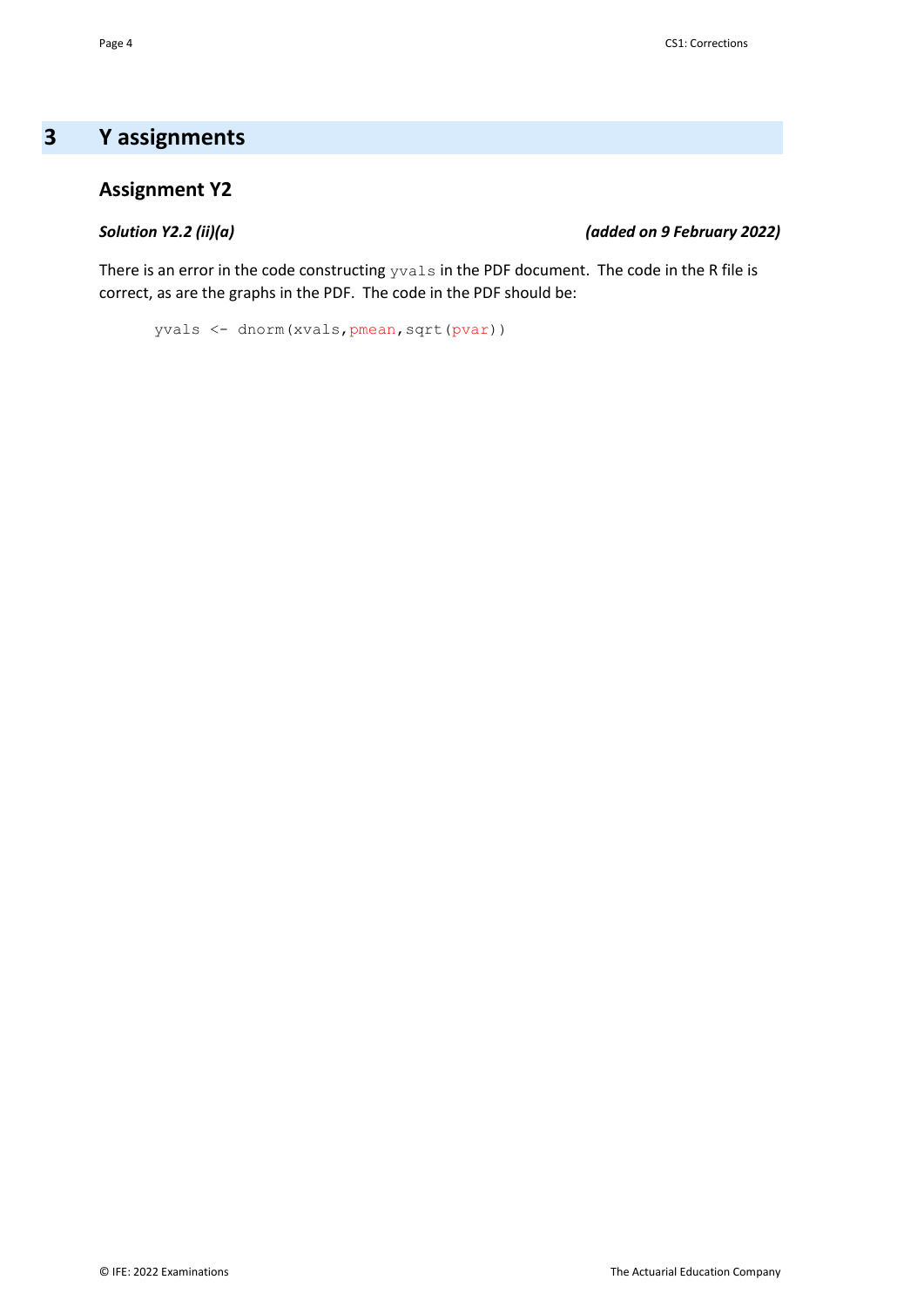# **3 Y assignments**

# **Assignment Y2**

### *Solution Y2.2 (ii)(a) (added on 9 February 2022)*

There is an error in the code constructing  $y_{\mathtt{val}} s$  in the PDF document. The code in the R file is correct, as are the graphs in the PDF. The code in the PDF should be:

yvals <- dnorm(xvals,pmean,sqrt(pvar))